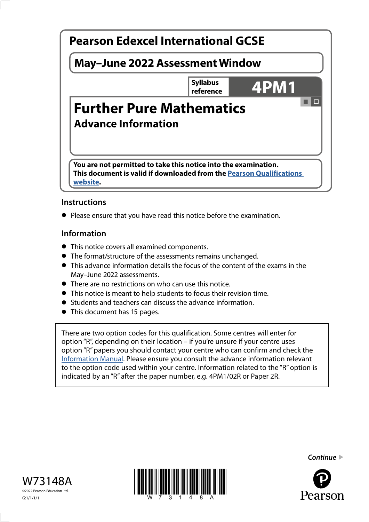# a la **Pearson Edexcel International GCSE May–June 2022 Assessment Window Syllabus Syllabus 4PM1 Further Pure Mathematics Advance Information You are not permitted to take this notice into the examination. This document is valid if downloaded from the [Pearson Qualifications](http://qualifications.pearson.com)  [website.](http://qualifications.pearson.com)**

## **Instructions**

**•** Please ensure that you have read this notice before the examination.

## **Information**

- This notice covers all examined components.
- The format/structure of the assessments remains unchanged.
- This advance information details the focus of the content of the exams in the May–June 2022 assessments.
- There are no restrictions on who can use this notice.
- This notice is meant to help students to focus their revision time.
- Students and teachers can discuss the advance information.
- This document has 15 pages.

There are two option codes for this qualification. Some centres will enter for option "R", depending on their location – if you're unsure if your centre uses option "R" papers you should contact your centre who can confirm and check the [Information Manual.](https://qualifications.pearson.com/content/dam/pdf/Support/Information-manual/6-International-GCSE.pdf) Please ensure you consult the advance information relevant to the option code used within your centre. Information related to the "R" option is indicated by an "R" after the paper number, e.g. 4PM1/02R or Paper 2R.







Pearson

*Continue*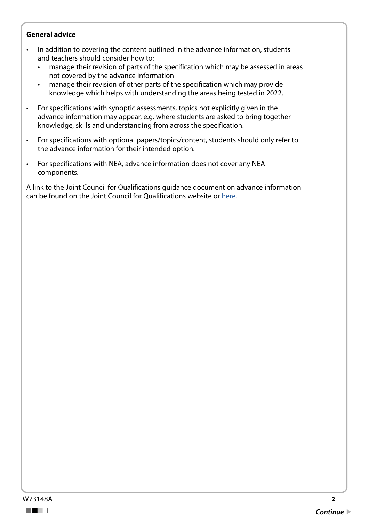#### **General advice**

- In addition to covering the content outlined in the advance information, students and teachers should consider how to:
	- manage their revision of parts of the specification which may be assessed in areas not covered by the advance information
	- manage their revision of other parts of the specification which may provide knowledge which helps with understanding the areas being tested in 2022.
- For specifications with synoptic assessments, topics not explicitly given in the advance information may appear, e.g. where students are asked to bring together knowledge, skills and understanding from across the specification.
- For specifications with optional papers/topics/content, students should only refer to the advance information for their intended option.
- For specifications with NEA, advance information does not cover any NEA components.

A link to the Joint Council for Qualifications guidance document on advance information can be found on the Joint Council for Qualifications website or [here.](https://www.jcq.org.uk/wp-content/uploads/2021/10/Advance-Information-for-General-Qualifications-2021-22.pdf)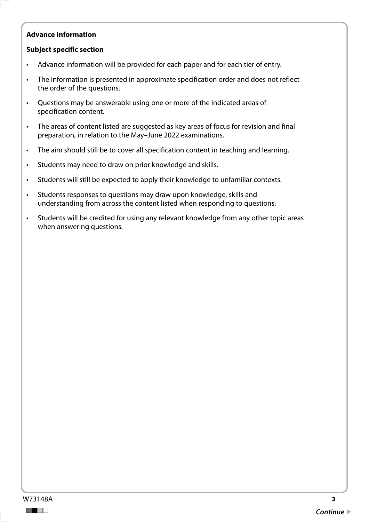#### **Advance Information**

#### **Subject specific section**

- Advance information will be provided for each paper and for each tier of entry.
- The information is presented in approximate specification order and does not reflect the order of the questions.
- Questions may be answerable using one or more of the indicated areas of specification content.
- The areas of content listed are suggested as key areas of focus for revision and final preparation, in relation to the May–June 2022 examinations.
- The aim should still be to cover all specification content in teaching and learning.
- Students may need to draw on prior knowledge and skills.
- Students will still be expected to apply their knowledge to unfamiliar contexts.
- Students responses to questions may draw upon knowledge, skills and understanding from across the content listed when responding to questions.
- Students will be credited for using any relevant knowledge from any other topic areas when answering questions.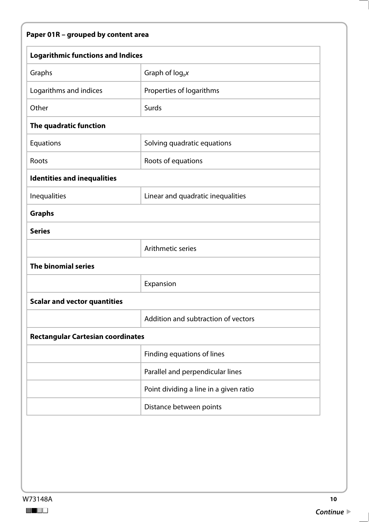# **Paper 01R – grouped by content area**

| <b>Logarithmic functions and Indices</b> |                                        |  |
|------------------------------------------|----------------------------------------|--|
| Graphs                                   | Graph of $log_b x$                     |  |
| Logarithms and indices                   | Properties of logarithms               |  |
| Other                                    | Surds                                  |  |
| The quadratic function                   |                                        |  |
| Equations                                | Solving quadratic equations            |  |
| Roots                                    | Roots of equations                     |  |
| <b>Identities and inequalities</b>       |                                        |  |
| Inequalities                             | Linear and quadratic inequalities      |  |
| <b>Graphs</b>                            |                                        |  |
| <b>Series</b>                            |                                        |  |
|                                          | Arithmetic series                      |  |
| <b>The binomial series</b>               |                                        |  |
|                                          | Expansion                              |  |
| <b>Scalar and vector quantities</b>      |                                        |  |
|                                          | Addition and subtraction of vectors    |  |
| <b>Rectangular Cartesian coordinates</b> |                                        |  |
|                                          | Finding equations of lines             |  |
|                                          | Parallel and perpendicular lines       |  |
|                                          | Point dividing a line in a given ratio |  |
|                                          | Distance between points                |  |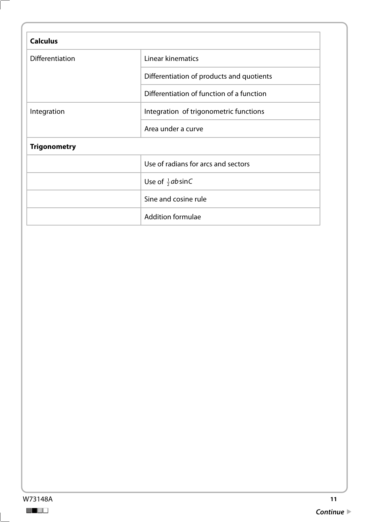| <b>Calculus</b>        |                                           |  |
|------------------------|-------------------------------------------|--|
| <b>Differentiation</b> | Linear kinematics                         |  |
|                        | Differentiation of products and quotients |  |
|                        | Differentiation of function of a function |  |
| Integration            | Integration of trigonometric functions    |  |
|                        | Area under a curve                        |  |
| <b>Trigonometry</b>    |                                           |  |
|                        | Use of radians for arcs and sectors       |  |
|                        | Use of $\frac{1}{2}$ absinC               |  |
|                        | Sine and cosine rule                      |  |
|                        | <b>Addition formulae</b>                  |  |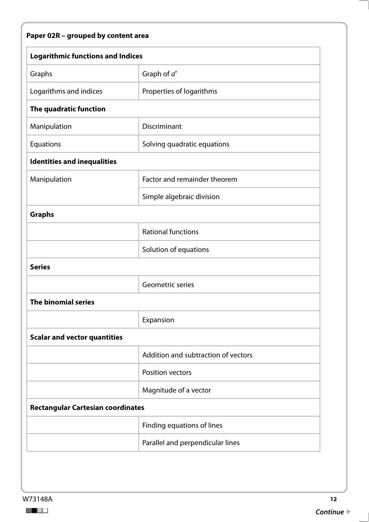# **Paper 02R – grouped by content area**

| <b>Logarithmic functions and Indices</b> |                                     |  |
|------------------------------------------|-------------------------------------|--|
| Graphs                                   | Graph of $a^x$                      |  |
| Logarithms and indices                   | Properties of logarithms            |  |
| The quadratic function                   |                                     |  |
| Manipulation                             | Discriminant                        |  |
| Equations                                | Solving quadratic equations         |  |
| <b>Identities and inequalities</b>       |                                     |  |
| Manipulation                             | Factor and remainder theorem        |  |
|                                          | Simple algebraic division           |  |
| <b>Graphs</b>                            |                                     |  |
|                                          | <b>Rational functions</b>           |  |
|                                          | Solution of equations               |  |
| <b>Series</b>                            |                                     |  |
|                                          | Geometric series                    |  |
| <b>The binomial series</b>               |                                     |  |
|                                          | Expansion                           |  |
| <b>Scalar and vector quantities</b>      |                                     |  |
|                                          | Addition and subtraction of vectors |  |
|                                          | Position vectors                    |  |
|                                          | Magnitude of a vector               |  |
| <b>Rectangular Cartesian coordinates</b> |                                     |  |
|                                          | Finding equations of lines          |  |
|                                          | Parallel and perpendicular lines    |  |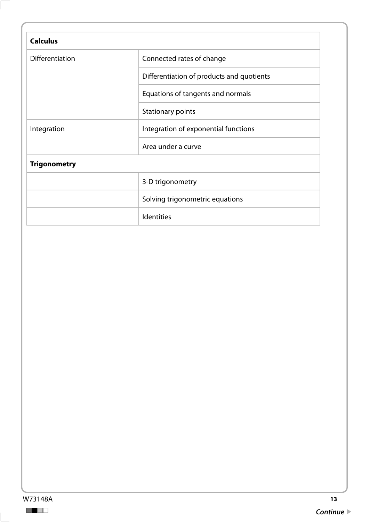| <b>Calculus</b>        |                                           |
|------------------------|-------------------------------------------|
| <b>Differentiation</b> | Connected rates of change                 |
|                        | Differentiation of products and quotients |
|                        | Equations of tangents and normals         |
|                        | Stationary points                         |
| Integration            | Integration of exponential functions      |
|                        | Area under a curve                        |
| <b>Trigonometry</b>    |                                           |
|                        | 3-D trigonometry                          |
|                        | Solving trigonometric equations           |
|                        | <b>Identities</b>                         |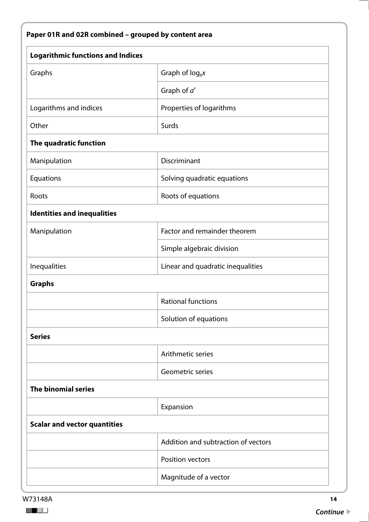| <b>Logarithmic functions and Indices</b> |                                     |
|------------------------------------------|-------------------------------------|
| Graphs                                   | Graph of $log_b x$                  |
|                                          | Graph of $a^x$                      |
| Logarithms and indices                   | Properties of logarithms            |
| Other                                    | Surds                               |
| The quadratic function                   |                                     |
| Manipulation                             | Discriminant                        |
| Equations                                | Solving quadratic equations         |
| Roots                                    | Roots of equations                  |
| <b>Identities and inequalities</b>       |                                     |
| Manipulation                             | Factor and remainder theorem        |
|                                          | Simple algebraic division           |
| Inequalities                             | Linear and quadratic inequalities   |
| <b>Graphs</b>                            |                                     |
|                                          | Rational functions                  |
|                                          | Solution of equations               |
| <b>Series</b>                            |                                     |
|                                          | Arithmetic series                   |
|                                          | Geometric series                    |
| <b>The binomial series</b>               |                                     |
|                                          | Expansion                           |
| <b>Scalar and vector quantities</b>      |                                     |
|                                          | Addition and subtraction of vectors |
|                                          | <b>Position vectors</b>             |
|                                          | Magnitude of a vector               |